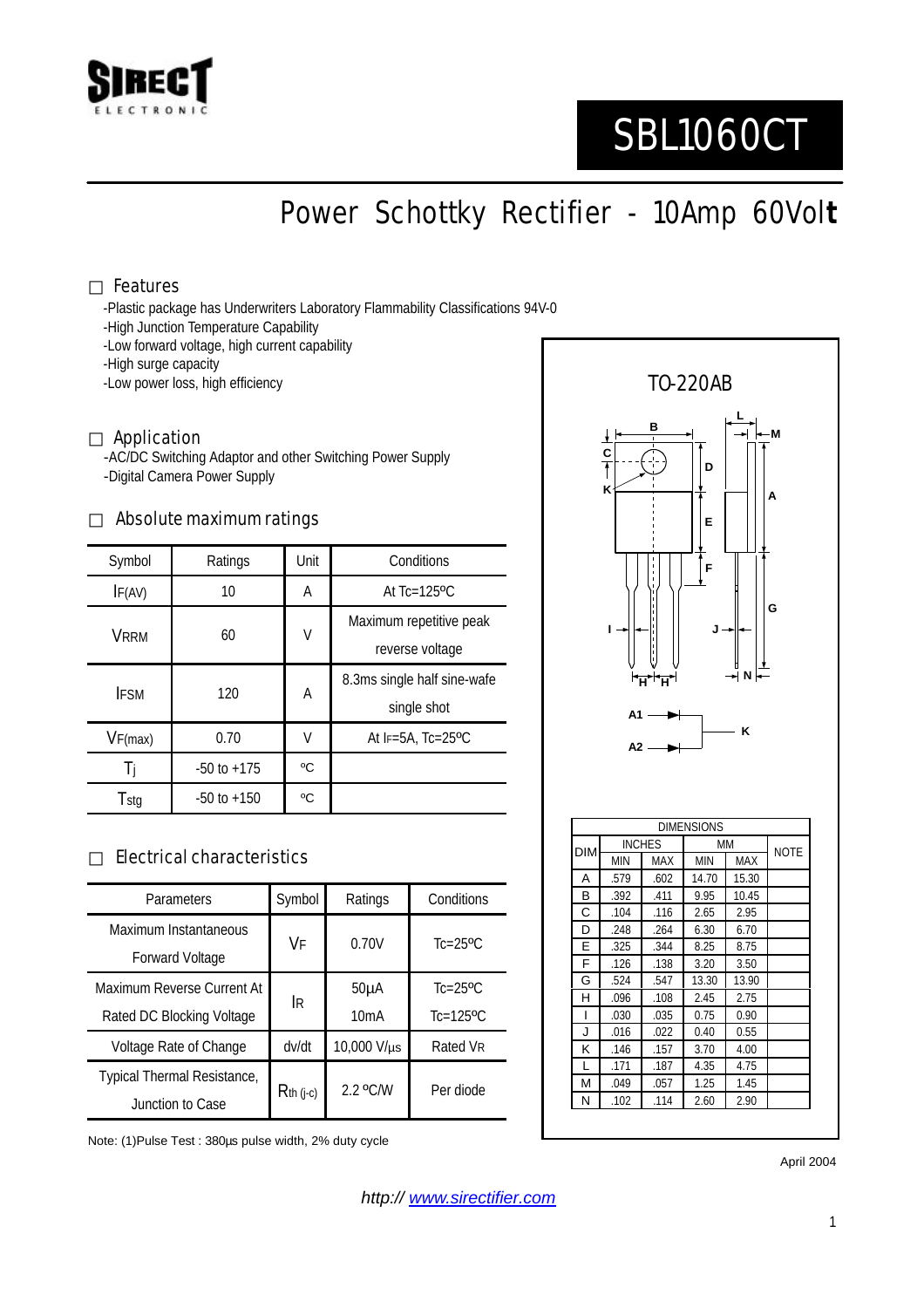

# SBL1060CT

Power Schottky Rectifier - 10Amp 60Vol**t**

#### Features

-Plastic package has Underwriters Laboratory Flammability Classifications 94V-0

- -High Junction Temperature Capability
- -Low forward voltage, high current capability
- -High surge capacity
- -Low power loss, high efficiency

#### Application

-AC/DC Switching Adaptor and other Switching Power Supply -Digital Camera Power Supply

#### Absolute maximum ratings

| Symbol      | Ratings         | Unit | Conditions                                 |  |
|-------------|-----------------|------|--------------------------------------------|--|
| IF(AV)      | 10              | Α    | At $Tc=125$ <sup>o</sup> $C$               |  |
| <b>VRRM</b> | 60              | V    | Maximum repetitive peak<br>reverse voltage |  |
| <b>IFSM</b> | 120             | А    | 8.3ms single half sine-wafe<br>single shot |  |
| VF(max)     | 0.70            | V    | At $F=5A$ , Tc=25°C                        |  |
| Ιi          | $-50$ to $+175$ | °C   |                                            |  |
| Tstg        | $-50$ to $+150$ | °C   |                                            |  |

### Electrical characteristics

| Parameters                               | Symbol      | Ratings           | Conditions                |
|------------------------------------------|-------------|-------------------|---------------------------|
| Maximum Instantaneous<br>Forward Voltage | VF          | 0.70V             | $Tc=25$ <sup>o</sup> $C$  |
| Maximum Reverse Current At               | İR          | 50 <sub>µ</sub> A | $Tc=25$ <sup>o</sup> $C$  |
| Rated DC Blocking Voltage                |             | 10mA              | $Tc=125$ <sup>o</sup> $C$ |
| Voltage Rate of Change                   | dv/dt       | 10,000 V/µs       | Rated VR                  |
| Typical Thermal Resistance,              | $Rth$ (j-c) | $2.2$ °C/W        | Per diode                 |
| Junction to Case                         |             |                   |                           |

Note: (1)Pulse Test : 380µs pulse width, 2% duty cycle



April 2004